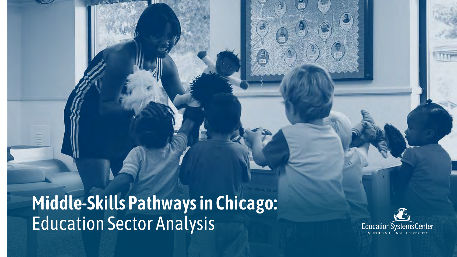**Middle-Skills Pathways in Chicago:**  Education Sector Analysis

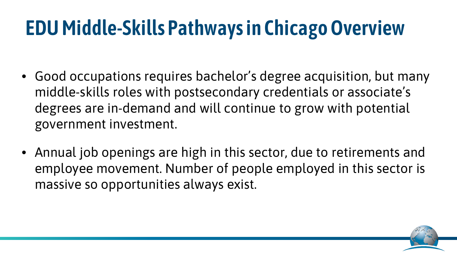## **EDU Middle-Skills Pathways in Chicago Overview**

- Good occupations requires bachelor's degree acquisition, but many middle-skills roles with postsecondary credentials or associate's degrees are in-demand and will continue to grow with potential government investment.
- Annual job openings are high in this sector, due to retirements and employee movement. Number of people employed in this sector is massive so opportunities always exist.

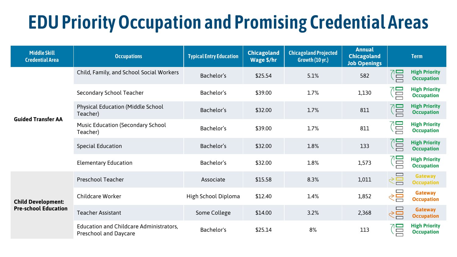## **EDU Priority Occupation and Promising Credential Areas**

| <b>Middle Skill</b><br><b>Credential Area</b>            | <b>Occupations</b>                                                             | <b>Typical Entry Education</b> | <b>Chicagoland</b><br>Wage \$/hr | <b>Chicagoland Projected</b><br>Growth (10 yr.) | <b>Annual</b><br><b>Chicagoland</b><br><b>Job Openings</b> |          | <b>Term</b>                               |
|----------------------------------------------------------|--------------------------------------------------------------------------------|--------------------------------|----------------------------------|-------------------------------------------------|------------------------------------------------------------|----------|-------------------------------------------|
| <b>Guided Transfer AA</b>                                | Child, Family, and School Social Workers                                       | Bachelor's                     | \$25.54                          | 5.1%                                            | 582                                                        | 得        | <b>High Priority</b><br><b>Occupation</b> |
|                                                          | <b>Secondary School Teacher</b>                                                | Bachelor's                     | \$39.00                          | 1.7%                                            | 1,130                                                      | $\Box$   | <b>High Priority</b><br><b>Occupation</b> |
|                                                          | <b>Physical Education (Middle School</b><br>Teacher)                           | Bachelor's                     | \$32.00                          | 1.7%                                            | 811                                                        | 冒        | <b>High Priority</b><br><b>Occupation</b> |
|                                                          | <b>Music Education (Secondary School</b><br>Teacher)                           | Bachelor's                     | \$39.00                          | 1.7%                                            | 811                                                        | Έ        | <b>High Priority</b><br><b>Occupation</b> |
|                                                          | <b>Special Education</b>                                                       | Bachelor's                     | \$32.00                          | 1.8%                                            | 133                                                        | (몸       | <b>High Priority</b><br><b>Occupation</b> |
|                                                          | <b>Elementary Education</b>                                                    | Bachelor's                     | \$32.00                          | 1.8%                                            | 1,573                                                      | Ē        | <b>High Priority</b><br><b>Occupation</b> |
| <b>Child Development:</b><br><b>Pre-school Education</b> | <b>Preschool Teacher</b>                                                       | Associate                      | \$15.58                          | 8.3%                                            | 1,011                                                      | $\leq$   | <b>Gateway</b><br><b>Occupation</b>       |
|                                                          | <b>Childcare Worker</b>                                                        | High School Diploma            | \$12.40                          | 1.4%                                            | 1,852                                                      | <⊟       | <b>Gateway</b><br><b>Occupation</b>       |
|                                                          | <b>Teacher Assistant</b>                                                       | Some College                   | \$14.00                          | 3.2%                                            | 2,368                                                      | $\leq$   | <b>Gateway</b><br><b>Occupation</b>       |
|                                                          | <b>Education and Childcare Administrators,</b><br><b>Preschool and Daycare</b> | Bachelor's                     | \$25.14                          | 8%                                              | 113                                                        | $\equiv$ | <b>High Priority</b><br><b>Occupation</b> |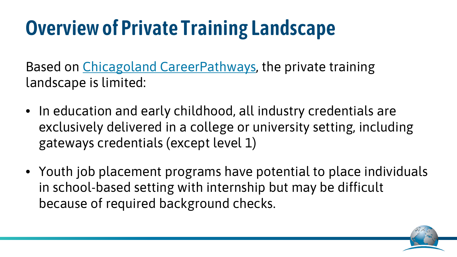## **Overview of Private Training Landscape**

Based on [Chicagoland CareerPathways,](https://www.careerpathways.net/) the private training landscape is limited:

- In education and early childhood, all industry credentials are exclusively delivered in a college or university setting, including gateways credentials (except level 1)
- Youth job placement programs have potential to place individuals in school-based setting with internship but may be difficult because of required background checks.

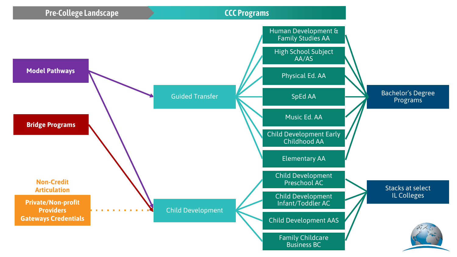